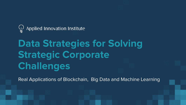

# **Data Strategies for Solving Strategic Corporate Challenges**

Real Applications of Blockchain, Big Data and Machine Learning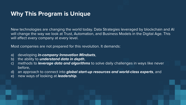## **Why This Program is Unique**

New technologies are changing the world today. Data Strategies leveraged by blockchain and AI will change the way we look at Trust, Automation, and Business Models in the Digital Age. This will affect every company at every level.

Most companies are not prepared for this revolution. It demands:

- a) developing *in-company Innovation Mindsets*,
- b) the ability to *understand data in depth*,
- c) methods to *leverage data and algorithms* to solve daily challenges in ways like never before,
- d) an approach to connect into *global start-up resources and world-class experts*, and
- e) new ways of looking at *leadership*.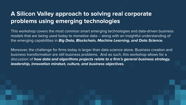# **A Silicon Valley approach to solving real corporate problems using emerging technologies**

This workshop covers the most common smart emerging technologies and data-driven business models that are being used today to monetize data – along with an insightful understanding of the emerging capabilities in *Big Data, Blockchain, Machine Learning, and Data Science.*

Moreover, the challenge for firms today is larger than data science alone. Business creation and business transformation are still business problems. And as such, this workshop allows for a discussion of *how data and algorithms projects relate to a firm's general business strategy, leadership, innovation mindset, culture, and business objectives.*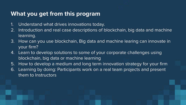#### **What you get from this program**

- 1. Understand what drives innovations today.
- 2. Introduction and real case descriptions of blockchain, big data and machine learning.
- 3. How can you use blockchain, Big data and machine learing can innovate in your firm?
- 4. Learn to develop solutions to some of your corporate challenges using blockchain, big data or machine learning
- 5. How to develop a medium and long term innovation strategy for your firm
- 6. Learning by doing: Participants work on a real team projects and present them to Instructors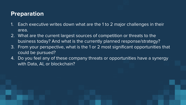## **Preparation**

- 1. Each executive writes down what are the 1 to 2 major challenges in their area.
- 2. What are the current largest sources of competition or threats to the business today? And what is the currently planned response/strategy?
- 3. From your perspective, what is the 1 or 2 most significant opportunities that could be pursued?
- 4. Do you feel any of these company threats or opportunities have a synergy with Data, AI, or blockchain?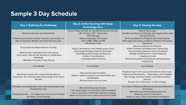# **Sample 3 Day Schedule**

| Day 1: Defining the Challenge                                                                                                                                                           | Day 2: Action Scoring with Deep<br><b>Technology Dive</b>                                                                                                                                         | Day 3: Closing the Gap                                                                                                                                                                                                                                                        |
|-----------------------------------------------------------------------------------------------------------------------------------------------------------------------------------------|---------------------------------------------------------------------------------------------------------------------------------------------------------------------------------------------------|-------------------------------------------------------------------------------------------------------------------------------------------------------------------------------------------------------------------------------------------------------------------------------|
| Welcome Keynote and Introduction<br>Data-driven business models: Includes case-studies on<br>data, AI Business Models and Technical Overview                                            | Tools of Data Science, AI, and Blockchain (Incl Demo).<br>- ML: Pandas / SKT / Tensorflow<br>- Data Storage<br>- Natural Language Processing<br>- Intro: CNNs, RNN, and RF<br>- Blockchain Tools  | Data-X: Next steps<br>Identify and discuss challenges and opportunities with<br>the participants<br>McKinsey Report on Progress with Data Projects<br>Next steps discussion on How to Achieve Technology<br>Outcomes                                                          |
| Group Exercise (Moderated by Faculty)<br>- What are the challenges from each group<br>- Discussion: How do you develop a comparative<br>advantage<br>- Berkeley Innovation Index Survey | Project, Architecture and Design Issues using<br><b>Technology Strategy Cases for Examples</b><br>- Developing technology architectures<br>- Holistic Considerations<br>- Leveraging New Ventures | <b>Advanced Blockchain Module:</b><br><b>Smart Contracts and Blockchain Technology</b><br>- Decentralized networks of trust (Trustless)<br>- Solidity and Ethereum's Virtual Machine<br>- Cryptocurrencies<br>- Blockchain system architectures and blockchain<br>engineering |
| Lunch Break                                                                                                                                                                             | <b>Lunch Break</b>                                                                                                                                                                                | Lunch Break                                                                                                                                                                                                                                                                   |
| Blockchain primer: An in-depth introduction to<br>blockchain, the most disruptive technology of the last 2<br>decades                                                                   | Data and AI Case Examples<br>- Modern systems beyond recommendation and<br>classification<br>- Reinforcement and recurrent                                                                        | Progress report with group presentations about topic:<br>Project and Architecture - Next Steps, with validation<br>from faculty, learning models, and implementation<br>reviews.<br>Review and continuation of data strategy.                                                 |
| Innovation and Leadership: How new technologies have<br>changed the rules.<br>Strategy Exercise - For Alignment: How do we Prioritize<br>and Align a Data Strategy                      | <b>Blockchain Business Models</b><br>- Two case studies of successful implementations<br>- How to develop a blockchain business strategy<br>Where to find and how to attract blockchain talent    | The Future of Data and Blockchain (Including Research<br>Directions)<br>- Methods of accessing global resources<br>- Berkeley research directions<br>- Issues on Jobs, Policy and Artificial Intelligence                                                                     |